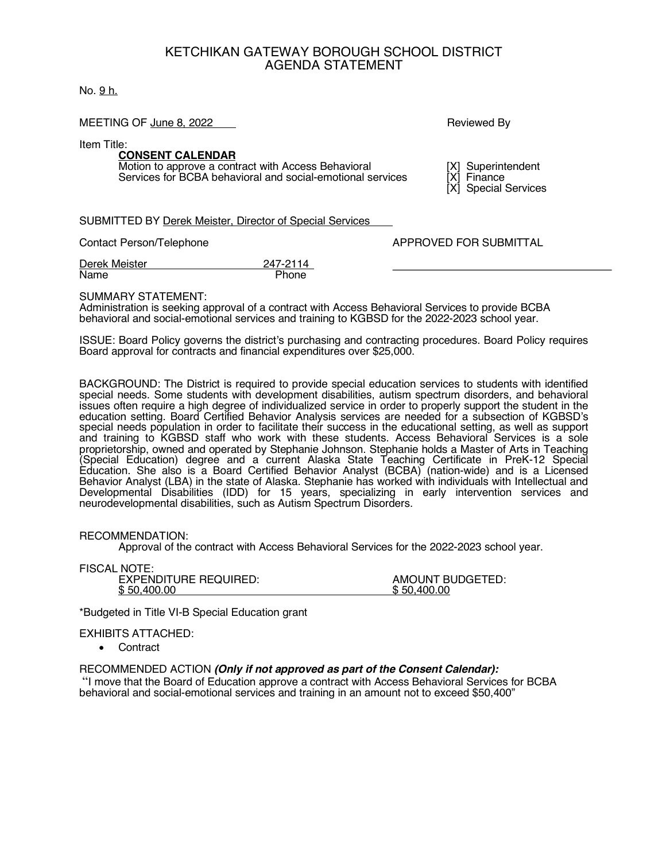### KETCHIKAN GATEWAY BOROUGH SCHOOL DISTRICT AGENDA STATEMENT

### No. 9 h.

#### MEETING OF June 8, 2022 **Reviewed By All Accord By Accord By Accord By Accord By Accord By Accord By Accord By Accord By Accord By Accord By Accord By Accord By Accord By Accord By Accord By Accord By Accord By Accord By A**

Item Title:

# **CONSENT CALENDAR**

Motion to approve a contract with Access Behavioral [X] Superintendent<br>Services for BCBA behavioral and social-emotional services [X] Finance Services for BCBA behavioral and social-emotional services

[X] Special Services

SUBMITTED BY Derek Meister, Director of Special Services

Contact Person/Telephone **APPROVED FOR SUBMITTAL** 

| Derek Meister | 247-2114 |
|---------------|----------|
| Name          | Phone    |

SUMMARY STATEMENT:

Administration is seeking approval of a contract with Access Behavioral Services to provide BCBA behavioral and social-emotional services and training to KGBSD for the 2022-2023 school year.

ISSUE: Board Policy governs the district's purchasing and contracting procedures. Board Policy requires Board approval for contracts and financial expenditures over \$25,000.

BACKGROUND: The District is required to provide special education services to students with identified special needs. Some students with development disabilities, autism spectrum disorders, and behavioral issues often require a high degree of individualized service in order to properly support the student in the education setting. Board Certified Behavior Analysis services are needed for a subsection of KGBSD's special needs population in order to facilitate their success in the educational setting, as well as support and training to KGBSD staff who work with these students. Access Behavioral Services is a sole proprietorship, owned and operated by Stephanie Johnson. Stephanie holds a Master of Arts in Teaching (Special Education) degree and a current Alaska State Teaching Certificate in PreK-12 Special Education. She also is a Board Certified Behavior Analyst (BCBA) (nation-wide) and is a Licensed Behavior Analyst (LBA) in the state of Alaska. Stephanie has worked with individuals with Intellectual and Developmental Disabilities (IDD) for 15 years, specializing in early intervention services and neurodevelopmental disabilities, such as Autism Spectrum Disorders.

### RECOMMENDATION:

Approval of the contract with Access Behavioral Services for the 2022-2023 school year.

FISCAL NOTE: EXPENDITURE REQUIRED:<br>  $$50,400.00$ <br>  $$50,400.00$ \$ 50,400.00

\*Budgeted in Title VI-B Special Education grant

EXHIBITS ATTACHED:

• Contract

RECOMMENDED ACTION *(Only if not approved as part of the Consent Calendar):*

"I move that the Board of Education approve a contract with Access Behavioral Services for BCBA behavioral and social-emotional services and training in an amount not to exceed \$50,400"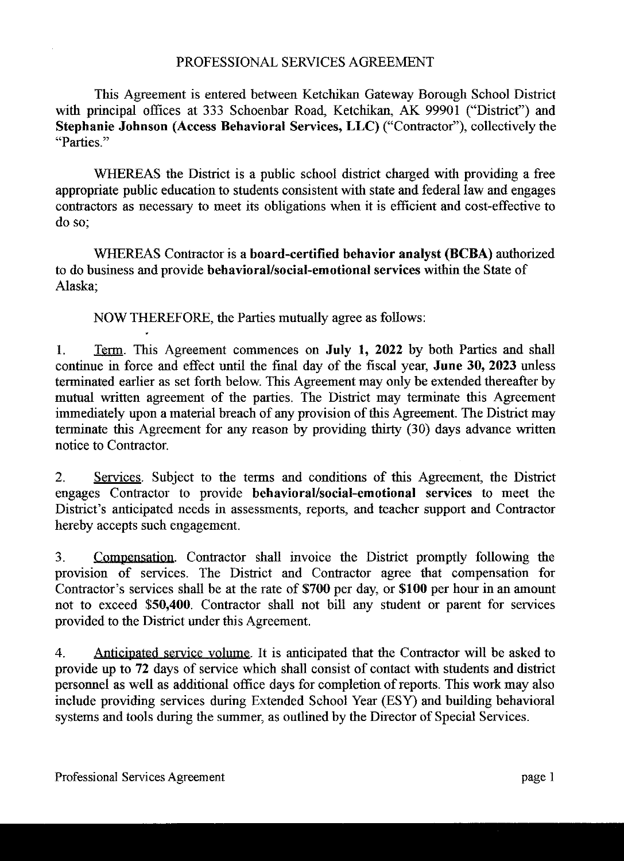## PROFESSIONAL SERVICES AGREEMENT

This Agreement is entered between Ketchikan Gateway Borough School District with principal offices at 333 Schoenbar Road, Ketchikan, AK 99901 ("District") and Stephanie Johnson (Access Behavioral Services, LLC) ("Contractor"), collectively the "Parties"

WHEREAS the District is a public school district charged with providing a free appropriate public education to students consistent with state and federal law and engages contractors as necessary to meet its obligations when it is efficient and cost-effective to do so:

WHEREAS Contractor is a board-certified behavior analyst (BCBA) authorized to do business and provide behavioral/social-emotional services within the State of Alaska:

NOW THEREFORE, the Parties mutually agree as follows:

Term. This Agreement commences on July 1, 2022 by both Parties and shall 1. continue in force and effect until the final day of the fiscal year, June 30, 2023 unless terminated earlier as set forth below. This Agreement may only be extended thereafter by mutual written agreement of the parties. The District may terminate this Agreement immediately upon a material breach of any provision of this Agreement. The District may terminate this Agreement for any reason by providing thirty (30) days advance written notice to Contractor.

2. Services. Subject to the terms and conditions of this Agreement, the District engages Contractor to provide behavioral/social-emotional services to meet the District's anticipated needs in assessments, reports, and teacher support and Contractor hereby accepts such engagement.

 $3<sub>1</sub>$ Compensation. Contractor shall invoice the District promptly following the provision of services. The District and Contractor agree that compensation for Contractor's services shall be at the rate of \$700 per day, or \$100 per hour in an amount not to exceed \$50,400. Contractor shall not bill any student or parent for services provided to the District under this Agreement.

Anticipated service volume. It is anticipated that the Contractor will be asked to  $\overline{4}$ . provide up to 72 days of service which shall consist of contact with students and district personnel as well as additional office days for completion of reports. This work may also include providing services during Extended School Year (ESY) and building behavioral systems and tools during the summer, as outlined by the Director of Special Services.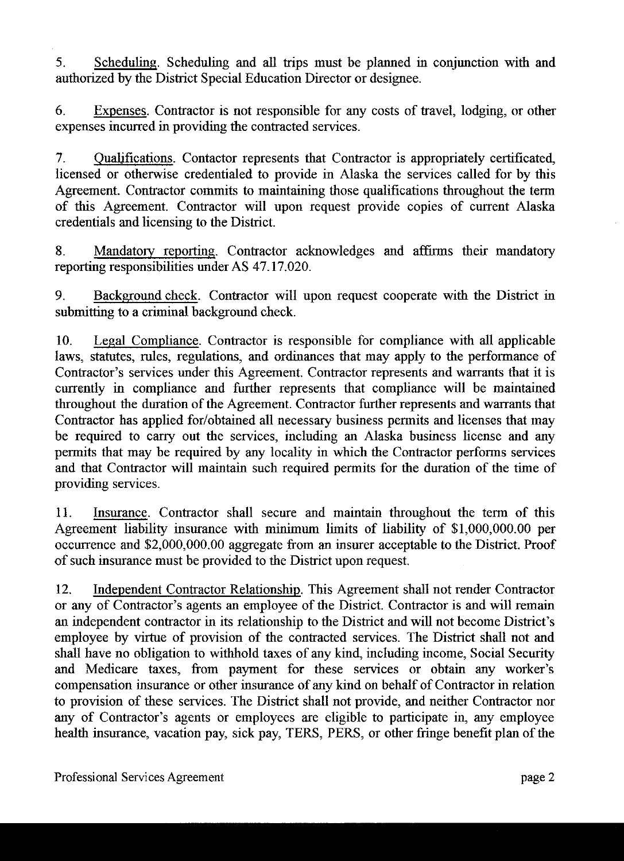5. Scheduling. Scheduling and all trips must be planned in conjunction with and authorized by the District Special Education Director or designee.

Expenses. Contractor is not responsible for any costs of travel, lodging, or other 6. expenses incurred in providing the contracted services.

Qualifications. Contactor represents that Contractor is appropriately certificated,  $7<sub>1</sub>$ licensed or otherwise credentialed to provide in Alaska the services called for by this Agreement. Contractor commits to maintaining those qualifications throughout the term of this Agreement. Contractor will upon request provide copies of current Alaska credentials and licensing to the District.

Mandatory reporting. Contractor acknowledges and affirms their mandatory 8. reporting responsibilities under AS 47.17.020.

Background check. Contractor will upon request cooperate with the District in 9. submitting to a criminal background check.

10. Legal Compliance. Contractor is responsible for compliance with all applicable laws, statutes, rules, regulations, and ordinances that may apply to the performance of Contractor's services under this Agreement. Contractor represents and warrants that it is currently in compliance and further represents that compliance will be maintained throughout the duration of the Agreement. Contractor further represents and warrants that Contractor has applied for/obtained all necessary business permits and licenses that may be required to carry out the services, including an Alaska business license and any permits that may be required by any locality in which the Contractor performs services and that Contractor will maintain such required permits for the duration of the time of providing services.

11. Insurance. Contractor shall secure and maintain throughout the term of this Agreement liability insurance with minimum limits of liability of \$1,000,000.00 per occurrence and \$2,000,000.00 aggregate from an insurer acceptable to the District. Proof of such insurance must be provided to the District upon request.

12. Independent Contractor Relationship. This Agreement shall not render Contractor or any of Contractor's agents an employee of the District. Contractor is and will remain an independent contractor in its relationship to the District and will not become District's employee by virtue of provision of the contracted services. The District shall not and shall have no obligation to withhold taxes of any kind, including income, Social Security and Medicare taxes, from payment for these services or obtain any worker's compensation insurance or other insurance of any kind on behalf of Contractor in relation to provision of these services. The District shall not provide, and neither Contractor nor any of Contractor's agents or employees are eligible to participate in, any employee health insurance, vacation pay, sick pay, TERS, PERS, or other fringe benefit plan of the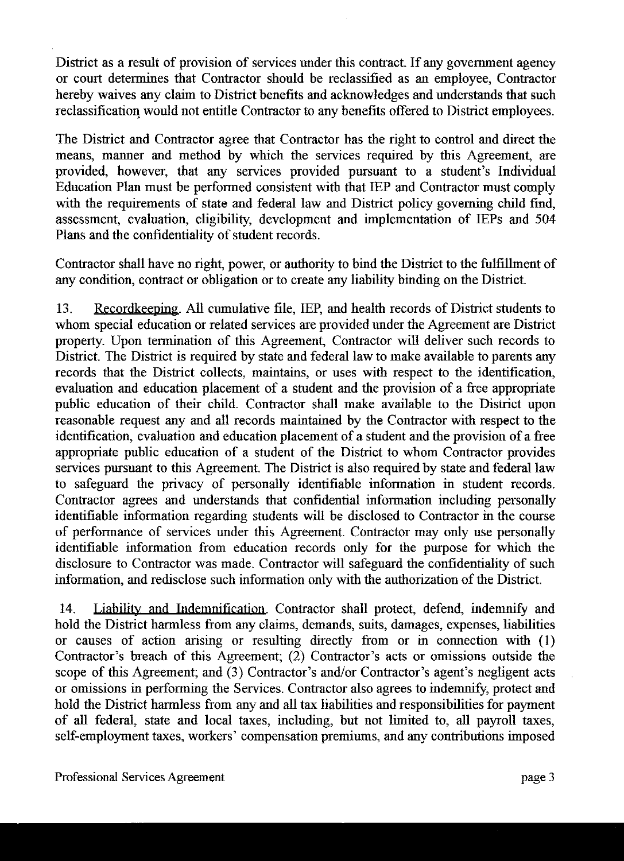District as a result of provision of services under this contract. If any government agency or court determines that Contractor should be reclassified as an employee, Contractor hereby waives any claim to District benefits and acknowledges and understands that such reclassification would not entitle Contractor to any benefits offered to District employees.

The District and Contractor agree that Contractor has the right to control and direct the means, manner and method by which the services required by this Agreement, are provided, however, that any services provided pursuant to a student's Individual Education Plan must be performed consistent with that IEP and Contractor must comply with the requirements of state and federal law and District policy governing child find, assessment, evaluation, eligibility, development and implementation of IEPs and 504 Plans and the confidentiality of student records.

Contractor shall have no right, power, or authority to bind the District to the fulfillment of any condition, contract or obligation or to create any liability binding on the District.

13. Recordkeeping. All cumulative file, IEP, and health records of District students to whom special education or related services are provided under the Agreement are District property. Upon termination of this Agreement, Contractor will deliver such records to District. The District is required by state and federal law to make available to parents any records that the District collects, maintains, or uses with respect to the identification, evaluation and education placement of a student and the provision of a free appropriate public education of their child. Contractor shall make available to the District upon reasonable request any and all records maintained by the Contractor with respect to the identification, evaluation and education placement of a student and the provision of a free appropriate public education of a student of the District to whom Contractor provides services pursuant to this Agreement. The District is also required by state and federal law to safeguard the privacy of personally identifiable information in student records. Contractor agrees and understands that confidential information including personally identifiable information regarding students will be disclosed to Contractor in the course of performance of services under this Agreement. Contractor may only use personally identifiable information from education records only for the purpose for which the disclosure to Contractor was made. Contractor will safeguard the confidentiality of such information, and redisclose such information only with the authorization of the District.

Liability and Indemnification. Contractor shall protect, defend, indemnify and 14. hold the District harmless from any claims, demands, suits, damages, expenses, liabilities or causes of action arising or resulting directly from or in connection with (1) Contractor's breach of this Agreement; (2) Contractor's acts or omissions outside the scope of this Agreement; and (3) Contractor's and/or Contractor's agent's negligent acts or omissions in performing the Services. Contractor also agrees to indemnify, protect and hold the District harmless from any and all tax liabilities and responsibilities for payment of all federal, state and local taxes, including, but not limited to, all payroll taxes, self-employment taxes, workers' compensation premiums, and any contributions imposed